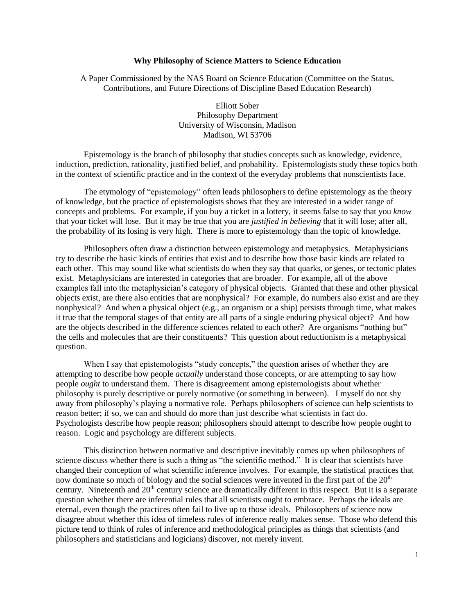## **Why Philosophy of Science Matters to Science Education**

A Paper Commissioned by the NAS Board on Science Education (Committee on the Status, Contributions, and Future Directions of Discipline Based Education Research)

> Elliott Sober Philosophy Department University of Wisconsin, Madison Madison, WI 53706

Epistemology is the branch of philosophy that studies concepts such as knowledge, evidence, induction, prediction, rationality, justified belief, and probability. Epistemologists study these topics both in the context of scientific practice and in the context of the everyday problems that nonscientists face.

The etymology of "epistemology" often leads philosophers to define epistemology as the theory of knowledge, but the practice of epistemologists shows that they are interested in a wider range of concepts and problems. For example, if you buy a ticket in a lottery, it seems false to say that you *know* that your ticket will lose. But it may be true that you are *justified in believing* that it will lose; after all, the probability of its losing is very high. There is more to epistemology than the topic of knowledge.

Philosophers often draw a distinction between epistemology and metaphysics. Metaphysicians try to describe the basic kinds of entities that exist and to describe how those basic kinds are related to each other. This may sound like what scientists do when they say that quarks, or genes, or tectonic plates exist. Metaphysicians are interested in categories that are broader. For example, all of the above examples fall into the metaphysician's category of physical objects. Granted that these and other physical objects exist, are there also entities that are nonphysical? For example, do numbers also exist and are they nonphysical? And when a physical object (e.g., an organism or a ship) persists through time, what makes it true that the temporal stages of that entity are all parts of a single enduring physical object? And how are the objects described in the difference sciences related to each other? Are organisms "nothing but" the cells and molecules that are their constituents? This question about reductionism is a metaphysical question.

When I say that epistemologists "study concepts," the question arises of whether they are attempting to describe how people *actually* understand those concepts, or are attempting to say how people *ought* to understand them. There is disagreement among epistemologists about whether philosophy is purely descriptive or purely normative (or something in between). I myself do not shy away from philosophy's playing a normative role. Perhaps philosophers of science can help scientists to reason better; if so, we can and should do more than just describe what scientists in fact do. Psychologists describe how people reason; philosophers should attempt to describe how people ought to reason. Logic and psychology are different subjects.

This distinction between normative and descriptive inevitably comes up when philosophers of science discuss whether there is such a thing as "the scientific method." It is clear that scientists have changed their conception of what scientific inference involves. For example, the statistical practices that now dominate so much of biology and the social sciences were invented in the first part of the 20<sup>th</sup> century. Nineteenth and 20<sup>th</sup> century science are dramatically different in this respect. But it is a separate question whether there are inferential rules that all scientists ought to embrace. Perhaps the ideals are eternal, even though the practices often fail to live up to those ideals. Philosophers of science now disagree about whether this idea of timeless rules of inference really makes sense. Those who defend this picture tend to think of rules of inference and methodological principles as things that scientists (and philosophers and statisticians and logicians) discover, not merely invent.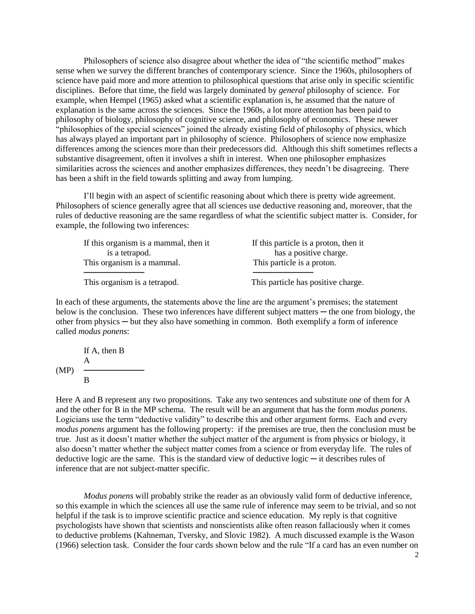Philosophers of science also disagree about whether the idea of "the scientific method" makes sense when we survey the different branches of contemporary science. Since the 1960s, philosophers of science have paid more and more attention to philosophical questions that arise only in specific scientific disciplines. Before that time, the field was largely dominated by *general* philosophy of science. For example, when Hempel (1965) asked what a scientific explanation is, he assumed that the nature of explanation is the same across the sciences. Since the 1960s, a lot more attention has been paid to philosophy of biology, philosophy of cognitive science, and philosophy of economics. These newer "philosophies of the special sciences" joined the already existing field of philosophy of physics, which has always played an important part in philosophy of science. Philosophers of science now emphasize differences among the sciences more than their predecessors did. Although this shift sometimes reflects a substantive disagreement, often it involves a shift in interest. When one philosopher emphasizes similarities across the sciences and another emphasizes differences, they needn't be disagreeing. There has been a shift in the field towards splitting and away from lumping.

I'll begin with an aspect of scientific reasoning about which there is pretty wide agreement. Philosophers of science generally agree that all sciences use deductive reasoning and, moreover, that the rules of deductive reasoning are the same regardless of what the scientific subject matter is. Consider, for example, the following two inferences:

| If this organism is a mammal, then it | If this particle is a proton, then it |
|---------------------------------------|---------------------------------------|
| is a tetrapod.                        | has a positive charge.                |
| This organism is a mammal.            | This particle is a proton.            |
| This organism is a tetrapod.          | This particle has positive charge.    |

In each of these arguments, the statements above the line are the argument's premises; the statement below is the conclusion. These two inferences have different subject matters — the one from biology, the other from physics ─ but they also have something in common. Both exemplify a form of inference called *modus ponens*:

If A, then B A (MP) ────────── B

Here A and B represent any two propositions. Take any two sentences and substitute one of them for A and the other for B in the MP schema. The result will be an argument that has the form *modus ponens*. Logicians use the term "deductive validity" to describe this and other argument forms. Each and every *modus ponens* argument has the following property: if the premises are true, then the conclusion must be true. Just as it doesn't matter whether the subject matter of the argument is from physics or biology, it also doesn't matter whether the subject matter comes from a science or from everyday life. The rules of deductive logic are the same. This is the standard view of deductive logic  $-$  it describes rules of inference that are not subject-matter specific.

*Modus ponens* will probably strike the reader as an obviously valid form of deductive inference, so this example in which the sciences all use the same rule of inference may seem to be trivial, and so not helpful if the task is to improve scientific practice and science education. My reply is that cognitive psychologists have shown that scientists and nonscientists alike often reason fallaciously when it comes to deductive problems (Kahneman, Tversky, and Slovic 1982). A much discussed example is the Wason (1966) selection task. Consider the four cards shown below and the rule "If a card has an even number on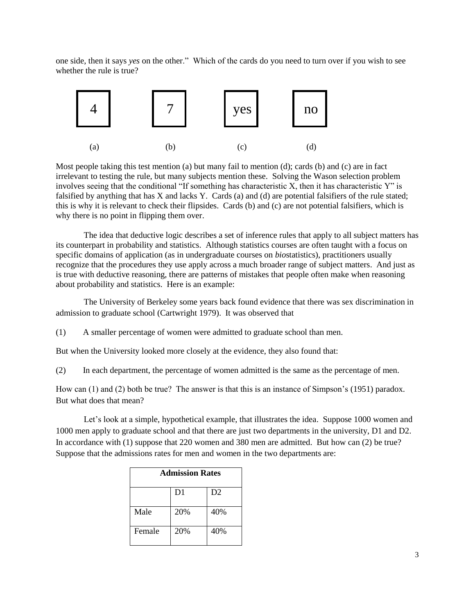one side, then it says *yes* on the other." Which of the cards do you need to turn over if you wish to see whether the rule is true?



Most people taking this test mention (a) but many fail to mention (d); cards (b) and (c) are in fact irrelevant to testing the rule, but many subjects mention these. Solving the Wason selection problem involves seeing that the conditional "If something has characteristic X, then it has characteristic Y" is falsified by anything that has X and lacks Y. Cards (a) and (d) are potential falsifiers of the rule stated; this is why it is relevant to check their flipsides. Cards (b) and (c) are not potential falsifiers, which is why there is no point in flipping them over.

The idea that deductive logic describes a set of inference rules that apply to all subject matters has its counterpart in probability and statistics. Although statistics courses are often taught with a focus on specific domains of application (as in undergraduate courses on *bio*statistics), practitioners usually recognize that the procedures they use apply across a much broader range of subject matters. And just as is true with deductive reasoning, there are patterns of mistakes that people often make when reasoning about probability and statistics. Here is an example:

The University of Berkeley some years back found evidence that there was sex discrimination in admission to graduate school (Cartwright 1979). It was observed that

(1) A smaller percentage of women were admitted to graduate school than men.

But when the University looked more closely at the evidence, they also found that:

(2) In each department, the percentage of women admitted is the same as the percentage of men.

How can (1) and (2) both be true? The answer is that this is an instance of Simpson's (1951) paradox. But what does that mean?

Let's look at a simple, hypothetical example, that illustrates the idea. Suppose 1000 women and 1000 men apply to graduate school and that there are just two departments in the university, D1 and D2. In accordance with (1) suppose that 220 women and 380 men are admitted. But how can (2) be true? Suppose that the admissions rates for men and women in the two departments are:

| <b>Admission Rates</b> |                |     |
|------------------------|----------------|-----|
|                        | D <sub>1</sub> | D2  |
| Male                   | 20%            | 40% |
| Female                 | 20%            | 40% |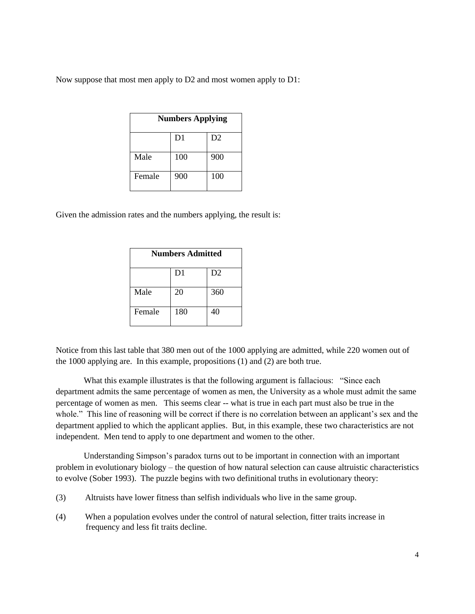Now suppose that most men apply to D2 and most women apply to D1:

| <b>Numbers Applying</b> |                |     |
|-------------------------|----------------|-----|
|                         | D <sub>1</sub> | D2  |
| Male                    | 100            | 900 |
| Female                  | 900            | 100 |

Given the admission rates and the numbers applying, the result is:

| <b>Numbers Admitted</b> |                |     |
|-------------------------|----------------|-----|
|                         | D <sub>1</sub> | D2  |
| Male                    | 20             | 360 |
| Female                  | 180            | 40  |

Notice from this last table that 380 men out of the 1000 applying are admitted, while 220 women out of the 1000 applying are. In this example, propositions (1) and (2) are both true.

What this example illustrates is that the following argument is fallacious: "Since each department admits the same percentage of women as men, the University as a whole must admit the same percentage of women as men. This seems clear -- what is true in each part must also be true in the whole." This line of reasoning will be correct if there is no correlation between an applicant's sex and the department applied to which the applicant applies. But, in this example, these two characteristics are not independent. Men tend to apply to one department and women to the other.

Understanding Simpson's paradox turns out to be important in connection with an important problem in evolutionary biology – the question of how natural selection can cause altruistic characteristics to evolve (Sober 1993). The puzzle begins with two definitional truths in evolutionary theory:

- (3) Altruists have lower fitness than selfish individuals who live in the same group.
- (4) When a population evolves under the control of natural selection, fitter traits increase in frequency and less fit traits decline.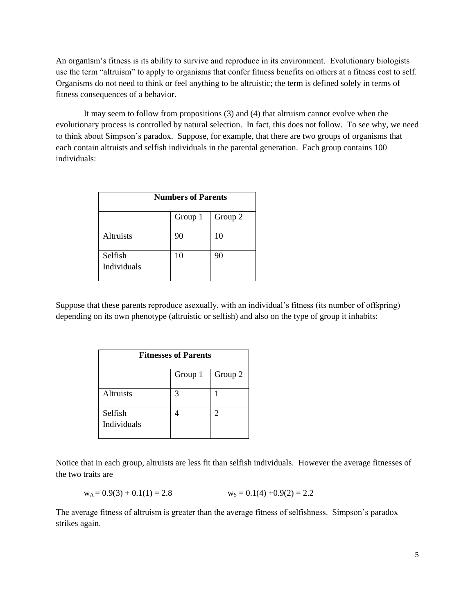An organism's fitness is its ability to survive and reproduce in its environment. Evolutionary biologists use the term "altruism" to apply to organisms that confer fitness benefits on others at a fitness cost to self. Organisms do not need to think or feel anything to be altruistic; the term is defined solely in terms of fitness consequences of a behavior.

It may seem to follow from propositions (3) and (4) that altruism cannot evolve when the evolutionary process is controlled by natural selection. In fact, this does not follow. To see why, we need to think about Simpson's paradox. Suppose, for example, that there are two groups of organisms that each contain altruists and selfish individuals in the parental generation. Each group contains 100 individuals:

| <b>Numbers of Parents</b> |         |         |
|---------------------------|---------|---------|
|                           | Group 1 | Group 2 |
| <b>Altruists</b>          | 90      | 10      |
| Selfish<br>Individuals    | 10      | 90      |

Suppose that these parents reproduce asexually, with an individual's fitness (its number of offspring) depending on its own phenotype (altruistic or selfish) and also on the type of group it inhabits:

| <b>Fitnesses of Parents</b> |         |                       |
|-----------------------------|---------|-----------------------|
|                             | Group 1 | Group 2               |
| <b>Altruists</b>            | 3       |                       |
| Selfish<br>Individuals      |         | $\mathcal{D}_{\cdot}$ |

Notice that in each group, altruists are less fit than selfish individuals. However the average fitnesses of the two traits are

 $w_A = 0.9(3) + 0.1(1) = 2.8$   $w_S = 0.1(4) + 0.9(2) = 2.2$ 

The average fitness of altruism is greater than the average fitness of selfishness. Simpson's paradox strikes again.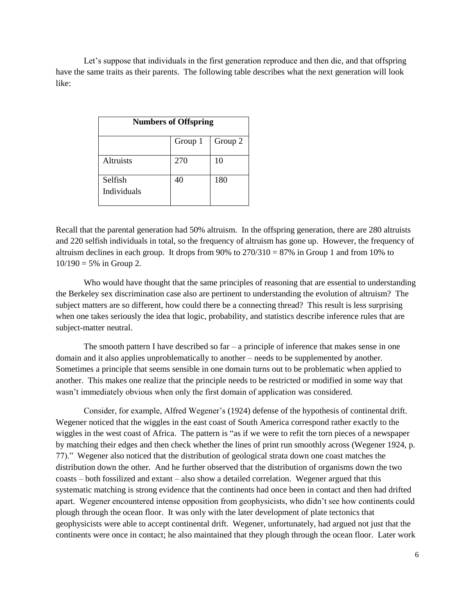Let's suppose that individuals in the first generation reproduce and then die, and that offspring have the same traits as their parents. The following table describes what the next generation will look like:

| <b>Numbers of Offspring</b> |         |         |
|-----------------------------|---------|---------|
|                             | Group 1 | Group 2 |
| <b>Altruists</b>            | 270     | 10      |
| Selfish<br>Individuals      | 40      | 180     |

Recall that the parental generation had 50% altruism. In the offspring generation, there are 280 altruists and 220 selfish individuals in total, so the frequency of altruism has gone up. However, the frequency of altruism declines in each group. It drops from  $90\%$  to  $270/310 = 87\%$  in Group 1 and from 10% to  $10/190 = 5\%$  in Group 2.

Who would have thought that the same principles of reasoning that are essential to understanding the Berkeley sex discrimination case also are pertinent to understanding the evolution of altruism? The subject matters are so different, how could there be a connecting thread? This result is less surprising when one takes seriously the idea that logic, probability, and statistics describe inference rules that are subject-matter neutral.

The smooth pattern I have described so far – a principle of inference that makes sense in one domain and it also applies unproblematically to another – needs to be supplemented by another. Sometimes a principle that seems sensible in one domain turns out to be problematic when applied to another. This makes one realize that the principle needs to be restricted or modified in some way that wasn't immediately obvious when only the first domain of application was considered.

Consider, for example, Alfred Wegener's (1924) defense of the hypothesis of continental drift. Wegener noticed that the wiggles in the east coast of South America correspond rather exactly to the wiggles in the west coast of Africa. The pattern is "as if we were to refit the torn pieces of a newspaper by matching their edges and then check whether the lines of print run smoothly across (Wegener 1924, p. 77)." Wegener also noticed that the distribution of geological strata down one coast matches the distribution down the other. And he further observed that the distribution of organisms down the two coasts – both fossilized and extant – also show a detailed correlation. Wegener argued that this systematic matching is strong evidence that the continents had once been in contact and then had drifted apart. Wegener encountered intense opposition from geophysicists, who didn't see how continents could plough through the ocean floor. It was only with the later development of plate tectonics that geophysicists were able to accept continental drift. Wegener, unfortunately, had argued not just that the continents were once in contact; he also maintained that they plough through the ocean floor. Later work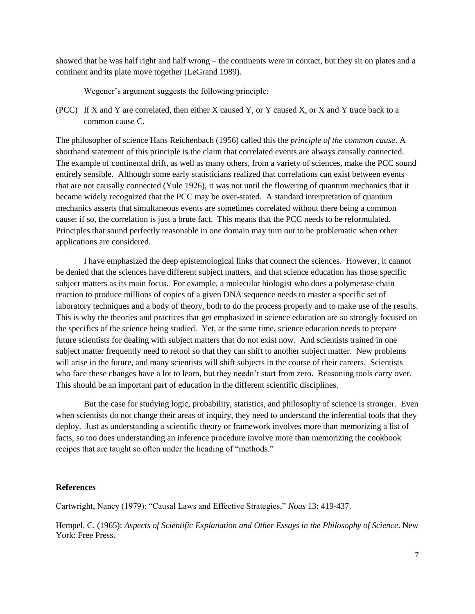showed that he was half right and half wrong – the continents were in contact, but they sit on plates and a continent and its plate move together (LeGrand 1989).

Wegener's argument suggests the following principle:

(PCC) If X and Y are correlated, then either X caused Y, or Y caused X, or X and Y trace back to a common cause C.

The philosopher of science Hans Reichenbach (1956) called this the *principle of the common cause*. A shorthand statement of this principle is the claim that correlated events are always causally connected. The example of continental drift, as well as many others, from a variety of sciences, make the PCC sound entirely sensible. Although some early statisticians realized that correlations can exist between events that are not causally connected (Yule 1926), it was not until the flowering of quantum mechanics that it became widely recognized that the PCC may be over-stated. A standard interpretation of quantum mechanics asserts that simultaneous events are sometimes correlated without there being a common cause; if so, the correlation is just a brute fact. This means that the PCC needs to be reformulated. Principles that sound perfectly reasonable in one domain may turn out to be problematic when other applications are considered.

I have emphasized the deep epistemological links that connect the sciences. However, it cannot be denied that the sciences have different subject matters, and that science education has those specific subject matters as its main focus. For example, a molecular biologist who does a polymerase chain reaction to produce millions of copies of a given DNA sequence needs to master a specific set of laboratory techniques and a body of theory, both to do the process properly and to make use of the results. This is why the theories and practices that get emphasized in science education are so strongly focused on the specifics of the science being studied. Yet, at the same time, science education needs to prepare future scientists for dealing with subject matters that do not exist now. And scientists trained in one subject matter frequently need to retool so that they can shift to another subject matter. New problems will arise in the future, and many scientists will shift subjects in the course of their careers. Scientists who face these changes have a lot to learn, but they needn't start from zero. Reasoning tools carry over. This should be an important part of education in the different scientific disciplines.

But the case for studying logic, probability, statistics, and philosophy of science is stronger. Even when scientists do not change their areas of inquiry, they need to understand the inferential tools that they deploy. Just as understanding a scientific theory or framework involves more than memorizing a list of facts, so too does understanding an inference procedure involve more than memorizing the cookbook recipes that are taught so often under the heading of "methods."

## **References**

Cartwright, Nancy (1979): "Causal Laws and Effective Strategies," *Nous* 13: 419-437.

Hempel, C. (1965): *Aspects of Scientific Explanation and Other Essays in the Philosophy of Science*. New York: Free Press.